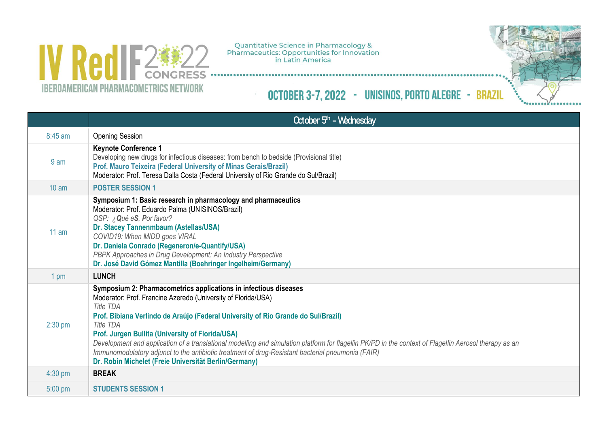

Quantitative Science in Pharmacology &<br>Pharmaceutics: Opportunities for Innovation<br>in Latin America

OCTOBER 3-7, 2022 - UNISINOS, PORTO ALEGRE - BRAZIL



|                 | October 5 <sup>th</sup> - Wednesday                                                                                                                                                                                                                                                                                                                                                                                                                                                                                                                                                                                                        |
|-----------------|--------------------------------------------------------------------------------------------------------------------------------------------------------------------------------------------------------------------------------------------------------------------------------------------------------------------------------------------------------------------------------------------------------------------------------------------------------------------------------------------------------------------------------------------------------------------------------------------------------------------------------------------|
| 8:45 am         | <b>Opening Session</b>                                                                                                                                                                                                                                                                                                                                                                                                                                                                                                                                                                                                                     |
| 9 <sub>am</sub> | <b>Keynote Conference 1</b><br>Developing new drugs for infectious diseases: from bench to bedside (Provisional title)<br>Prof. Mauro Teixeira (Federal University of Minas Gerais/Brazil)<br>Moderator: Prof. Teresa Dalla Costa (Federal University of Rio Grande do Sul/Brazil)                                                                                                                                                                                                                                                                                                                                                         |
| $10 \text{ am}$ | <b>POSTER SESSION 1</b>                                                                                                                                                                                                                                                                                                                                                                                                                                                                                                                                                                                                                    |
| 11 am           | Symposium 1: Basic research in pharmacology and pharmaceutics<br>Moderator: Prof. Eduardo Palma (UNISINOS/Brazil)<br>QSP: ¿Qué eS, Por favor?<br>Dr. Stacey Tannenmbaum (Astellas/USA)<br>COVID19: When MIDD goes VIRAL<br>Dr. Daniela Conrado (Regeneron/e-Quantify/USA)<br>PBPK Approaches in Drug Development: An Industry Perspective<br>Dr. José David Gómez Mantilla (Boehringer Ingelheim/Germany)                                                                                                                                                                                                                                  |
| 1 pm            | <b>LUNCH</b>                                                                                                                                                                                                                                                                                                                                                                                                                                                                                                                                                                                                                               |
| $2:30$ pm       | Symposium 2: Pharmacometrics applications in infectious diseases<br>Moderator: Prof. Francine Azeredo (University of Florida/USA)<br><b>Title TDA</b><br>Prof. Bibiana Verlindo de Araújo (Federal University of Rio Grande do Sul/Brazil)<br><b>Title TDA</b><br>Prof. Jurgen Bullita (University of Florida/USA)<br>Development and application of a translational modelling and simulation platform for flagellin PK/PD in the context of Flagellin Aerosol therapy as an<br>Immunomodulatory adjunct to the antibiotic treatment of drug-Resistant bacterial pneumonia (FAIR)<br>Dr. Robin Michelet (Freie Universität Berlin/Germany) |
| $4:30$ pm       | <b>BREAK</b>                                                                                                                                                                                                                                                                                                                                                                                                                                                                                                                                                                                                                               |
| $5:00$ pm       | <b>STUDENTS SESSION 1</b>                                                                                                                                                                                                                                                                                                                                                                                                                                                                                                                                                                                                                  |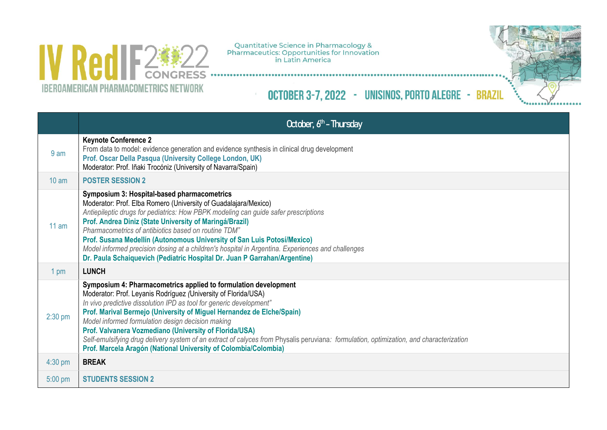

Quantitative Science in Pharmacology &<br>Pharmaceutics: Opportunities for Innovation<br>in Latin America

OCTOBER 3-7, 2022 - UNISINOS, PORTO ALEGRE - BRAZIL



|                 | October, 6 <sup>th</sup> - Thursday                                                                                                                                                                                                                                                                                                                                                                                                                                                                                                                                                                            |
|-----------------|----------------------------------------------------------------------------------------------------------------------------------------------------------------------------------------------------------------------------------------------------------------------------------------------------------------------------------------------------------------------------------------------------------------------------------------------------------------------------------------------------------------------------------------------------------------------------------------------------------------|
| 9 <sub>am</sub> | <b>Keynote Conference 2</b><br>From data to model: evidence generation and evidence synthesis in clinical drug development<br>Prof. Oscar Della Pasqua (University College London, UK)<br>Moderator: Prof. Iñaki Trocóniz (University of Navarra/Spain)                                                                                                                                                                                                                                                                                                                                                        |
| $10 \text{ am}$ | <b>POSTER SESSION 2</b>                                                                                                                                                                                                                                                                                                                                                                                                                                                                                                                                                                                        |
| $11$ am         | Symposium 3: Hospital-based pharmacometrics<br>Moderator: Prof. Elba Romero (University of Guadalajara/Mexico)<br>Antiepileptic drugs for pediatrics: How PBPK modeling can guide safer prescriptions<br>Prof. Andrea Diniz (State University of Maringá/Brazil)<br>Pharmacometrics of antibiotics based on routine TDM"<br>Prof. Susana Medellín (Autonomous University of San Luis Potosí/Mexico)<br>Model informed precision dosing at a children's hospital in Argentina. Experiences and challenges<br>Dr. Paula Schaiquevich (Pediatric Hospital Dr. Juan P Garrahan/Argentine)                          |
| 1 pm            | <b>LUNCH</b>                                                                                                                                                                                                                                                                                                                                                                                                                                                                                                                                                                                                   |
| $2:30$ pm       | Symposium 4: Pharmacometrics applied to formulation development<br>Moderator: Prof. Leyanis Rodríguez (University of Florida/USA)<br>In vivo predictive dissolution IPD as tool for generic development"<br>Prof. Marival Bermejo (University of Miguel Hernandez de Elche/Spain)<br>Model informed formulation design decision making<br>Prof. Valvanera Vozmediano (University of Florida/USA)<br>Self-emulsifying drug delivery system of an extract of calyces from Physalis peruviana: formulation, optimization, and characterization<br>Prof. Marcela Aragón (National University of Colombia/Colombia) |
| $4:30$ pm       | <b>BREAK</b>                                                                                                                                                                                                                                                                                                                                                                                                                                                                                                                                                                                                   |
| $5:00$ pm       | <b>STUDENTS SESSION 2</b>                                                                                                                                                                                                                                                                                                                                                                                                                                                                                                                                                                                      |